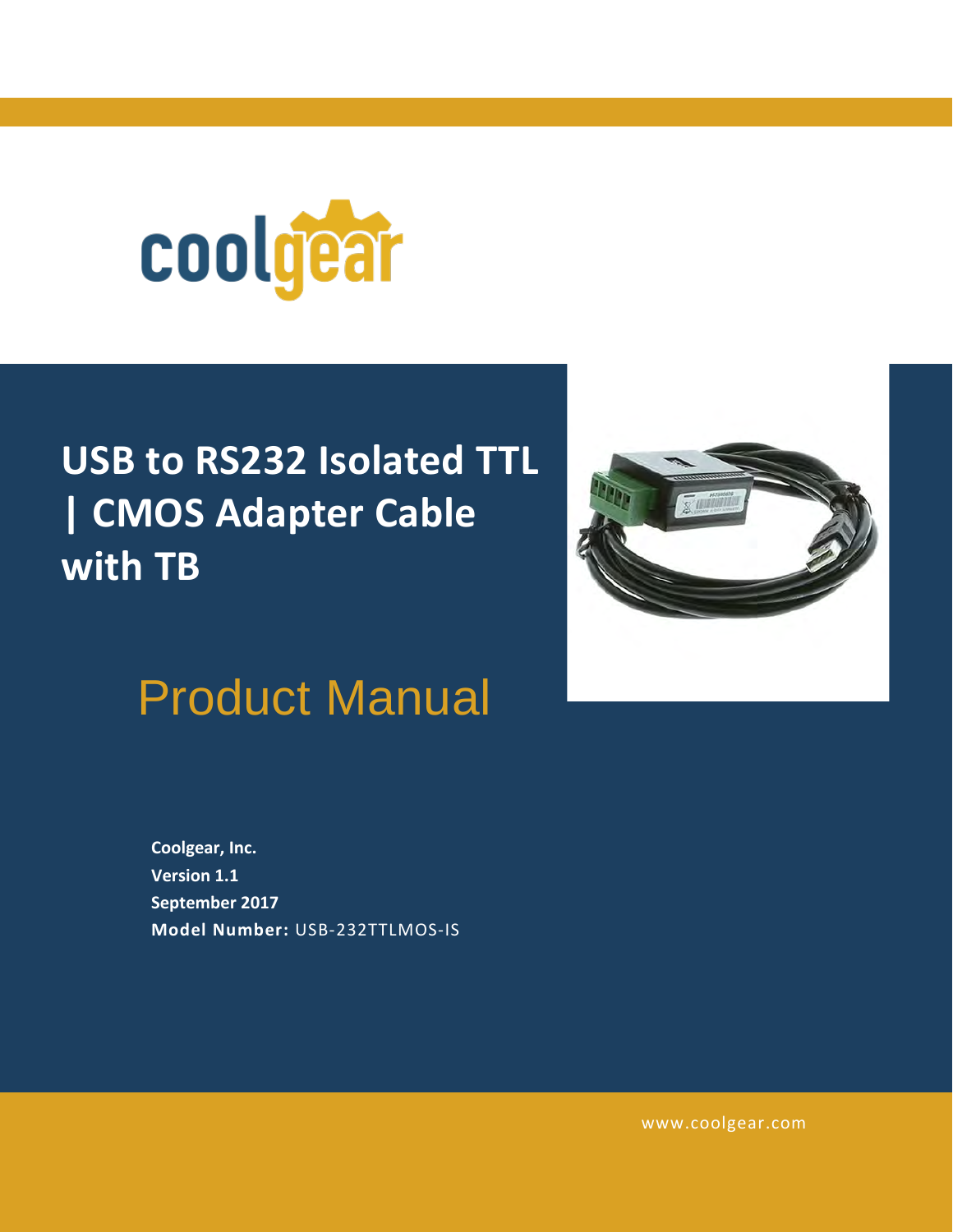

# **USB to RS232 Isolated TTL | CMOS Adapter Cable with TB**



Product Manual

**Coolgear, Inc. Version 1.1 September 2017 Model Number:** [USB-232TTLMOS-IS](https://www.coolgear.com/product/usb-to-rs232-isolated-ttl-cmos-adapter-cable-with-tb)

[www.coolgear.com](https://www.coolgear.com/)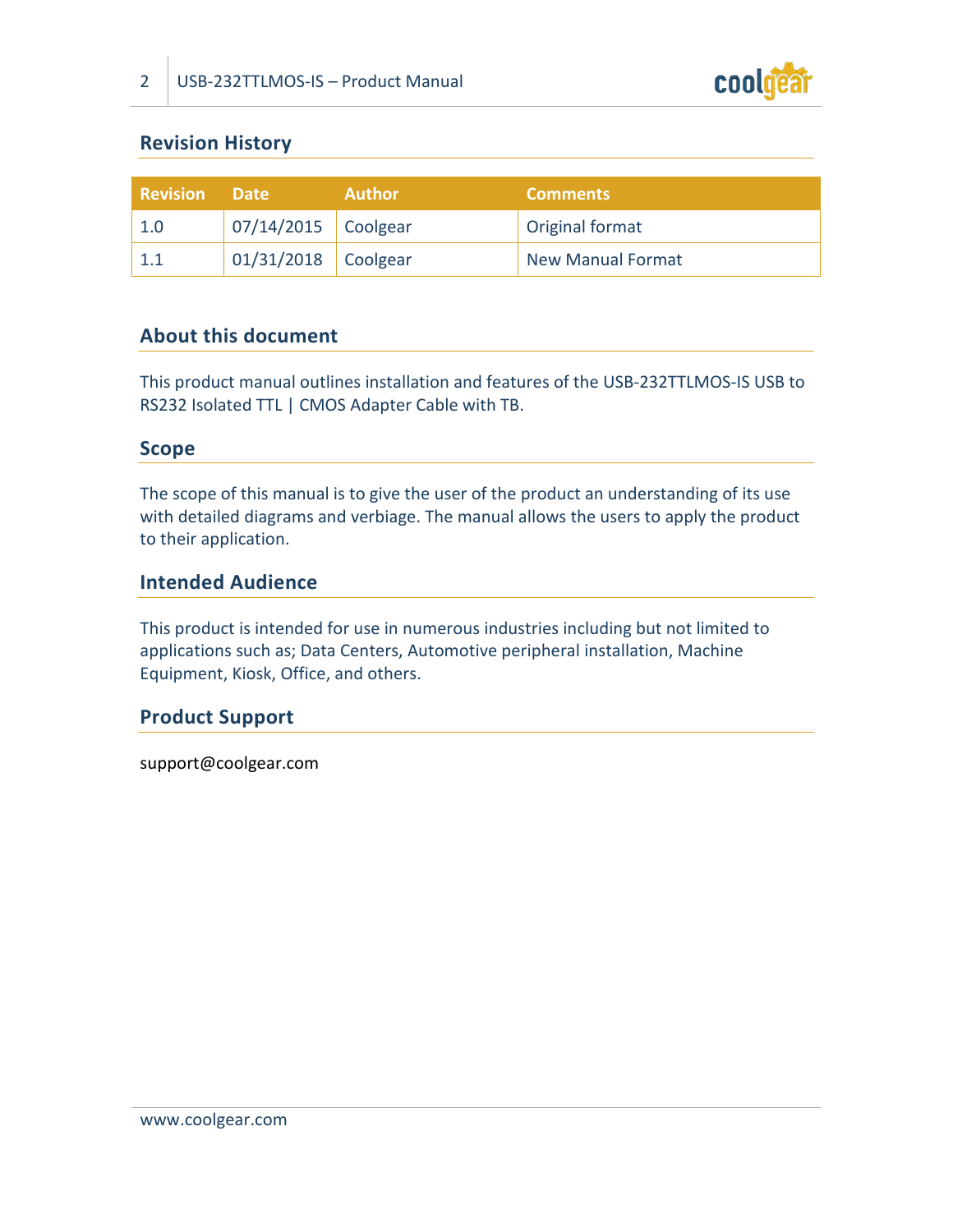

# **Revision History**

| Revision | <b>Date</b>           | <b>Author</b> | <b>Comments</b>          |
|----------|-----------------------|---------------|--------------------------|
| 1.0      | 07/14/2015   Coolgear |               | Original format          |
|          | 01/31/2018 Coolgear   |               | <b>New Manual Format</b> |

# **About this document**

This product manual outlines installation and features of the USB-232TTLMOS-IS USB to RS232 Isolated TTL | CMOS Adapter Cable with TB.

### **Scope**

The scope of this manual is to give the user of the product an understanding of its use with detailed diagrams and verbiage. The manual allows the users to apply the product to their application.

### **Intended Audience**

This product is intended for use in numerous industries including but not limited to applications such as; Data Centers, Automotive peripheral installation, Machine Equipment, Kiosk, Office, and others.

### **Product Support**

support@coolgear.com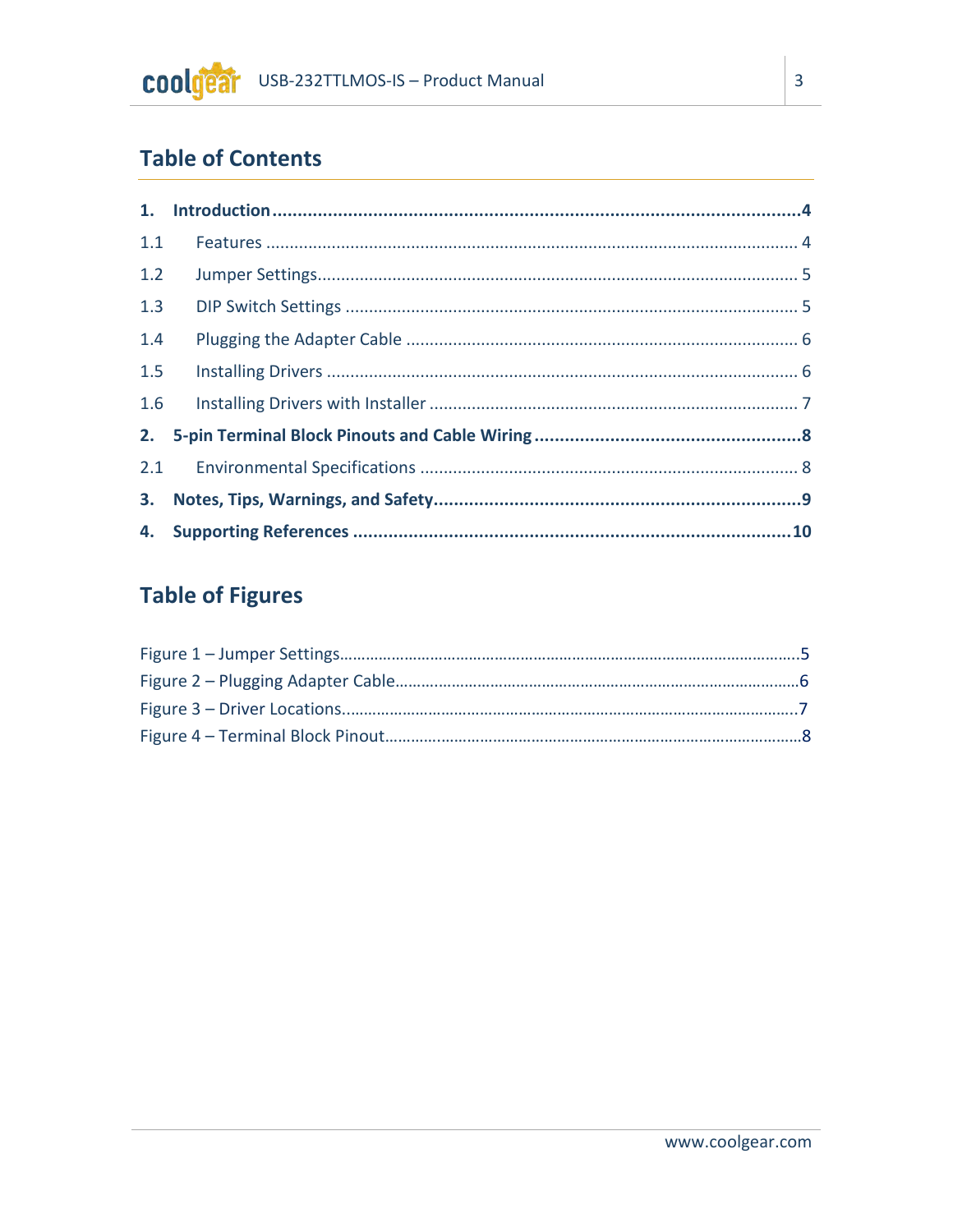# **Table of Contents**

| 1.1 |  |
|-----|--|
| 1.2 |  |
| 1.3 |  |
| 1.4 |  |
| 1.5 |  |
| 1.6 |  |
| 2.  |  |
|     |  |
|     |  |
|     |  |

# **Table of Figures**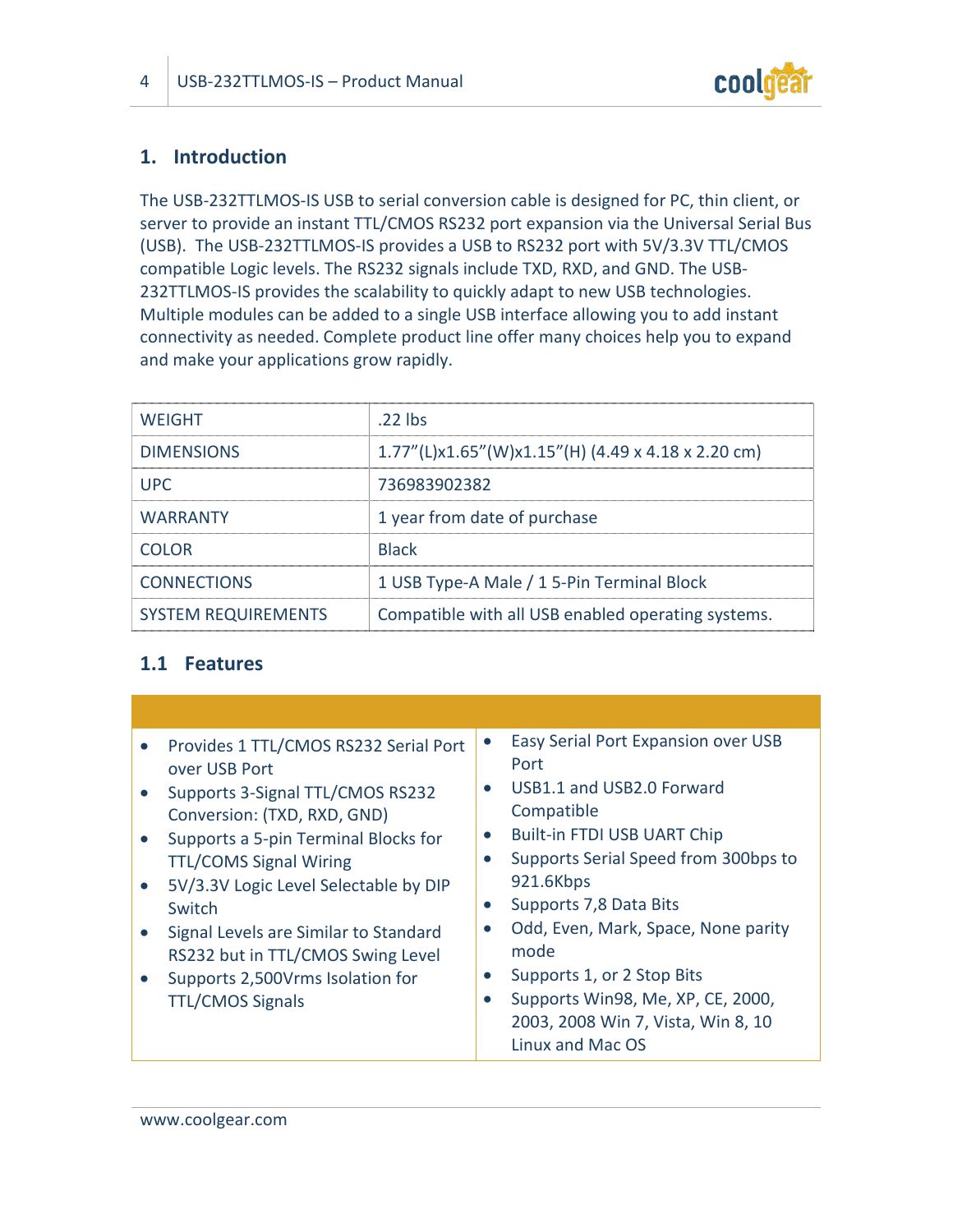

# <span id="page-3-0"></span>**1. Introduction**

The USB-232TTLMOS-IS USB to serial conversion cable is designed for PC, thin client, or server to provide an instant TTL/CMOS RS232 port expansion via the Universal Serial Bus (USB). The USB-232TTLMOS-IS provides a USB to RS232 port with 5V/3.3V TTL/CMOS compatible Logic levels. The RS232 signals include TXD, RXD, and GND. The USB-232TTLMOS-IS provides the scalability to quickly adapt to new USB technologies. Multiple modules can be added to a single USB interface allowing you to add instant connectivity as needed. Complete product line offer many choices help you to expand and make your applications grow rapidly.

| <b>WEIGHT</b>              | .22 lbs                                                |
|----------------------------|--------------------------------------------------------|
| <b>DIMENSIONS</b>          | $1.77''$ (L)x1.65"(W)x1.15"(H) (4.49 x 4.18 x 2.20 cm) |
| <b>UPC</b>                 | 736983902382                                           |
| <b>WARRANTY</b>            | 1 year from date of purchase                           |
| <b>COLOR</b>               | <b>Black</b>                                           |
| <b>CONNECTIONS</b>         | 1 USB Type-A Male / 1 5-Pin Terminal Block             |
| <b>SYSTEM REQUIREMENTS</b> | Compatible with all USB enabled operating systems.     |

# <span id="page-3-1"></span>**1.1 Features**

| Provides 1 TTL/CMOS RS232 Serial Port<br>over USB Port<br>Supports 3-Signal TTL/CMOS RS232<br>Conversion: (TXD, RXD, GND)<br>Supports a 5-pin Terminal Blocks for<br><b>TTL/COMS Signal Wiring</b><br>5V/3.3V Logic Level Selectable by DIP<br>Switch<br>Signal Levels are Similar to Standard<br>RS232 but in TTL/CMOS Swing Level<br>Supports 2,500Vrms Isolation for<br><b>TTL/CMOS Signals</b> | Easy Serial Port Expansion over USB<br>Port<br>USB1.1 and USB2.0 Forward<br>Compatible<br><b>Built-in FTDI USB UART Chip</b><br>Supports Serial Speed from 300bps to<br>921.6Kbps<br>Supports 7,8 Data Bits<br>Odd, Even, Mark, Space, None parity<br>mode<br>Supports 1, or 2 Stop Bits<br>Supports Win98, Me, XP, CE, 2000,<br>2003, 2008 Win 7, Vista, Win 8, 10<br>Linux and Mac OS |
|----------------------------------------------------------------------------------------------------------------------------------------------------------------------------------------------------------------------------------------------------------------------------------------------------------------------------------------------------------------------------------------------------|-----------------------------------------------------------------------------------------------------------------------------------------------------------------------------------------------------------------------------------------------------------------------------------------------------------------------------------------------------------------------------------------|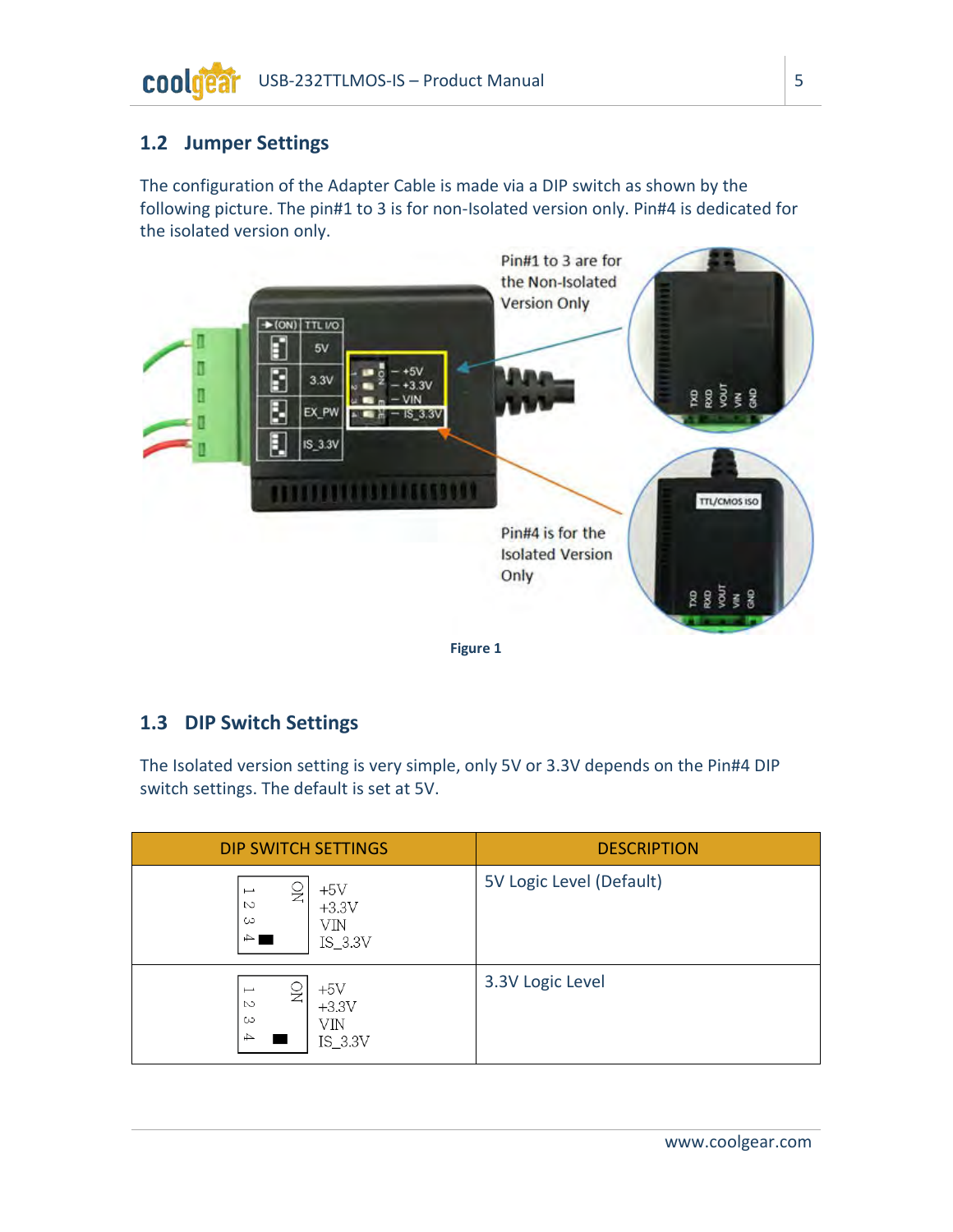#### coolg USB-232TTLMOS-IS – Product Manual 5

# <span id="page-4-0"></span>**1.2 Jumper Settings**

The configuration of the Adapter Cable is made via a DIP switch as shown by the following picture. The pin#1 to 3 is for non-Isolated version only. Pin#4 is dedicated for the isolated version only.

<span id="page-4-2"></span>

#### **Figure 1**

# <span id="page-4-1"></span>**1.3 DIP Switch Settings**

The Isolated version setting is very simple, only 5V or 3.3V depends on the Pin#4 DIP switch settings. The default is set at 5V.

| <b>DIP SWITCH SETTINGS</b>                                                                                    | <b>DESCRIPTION</b>       |
|---------------------------------------------------------------------------------------------------------------|--------------------------|
| $+5V$<br>S<br>$\overline{\phantom{0}}$<br>$\sim$<br>$+3.3V$<br>ယ<br>VIN<br>$\Rightarrow$<br>$IS_3.3V$         | 5V Logic Level (Default) |
| $+5V$<br>ž<br>$\overline{\phantom{0}}$<br>$\sim$<br>$+3.3V$<br>$\infty$<br>VIN<br>$\overline{+}$<br>$IS_3.3V$ | 3.3V Logic Level         |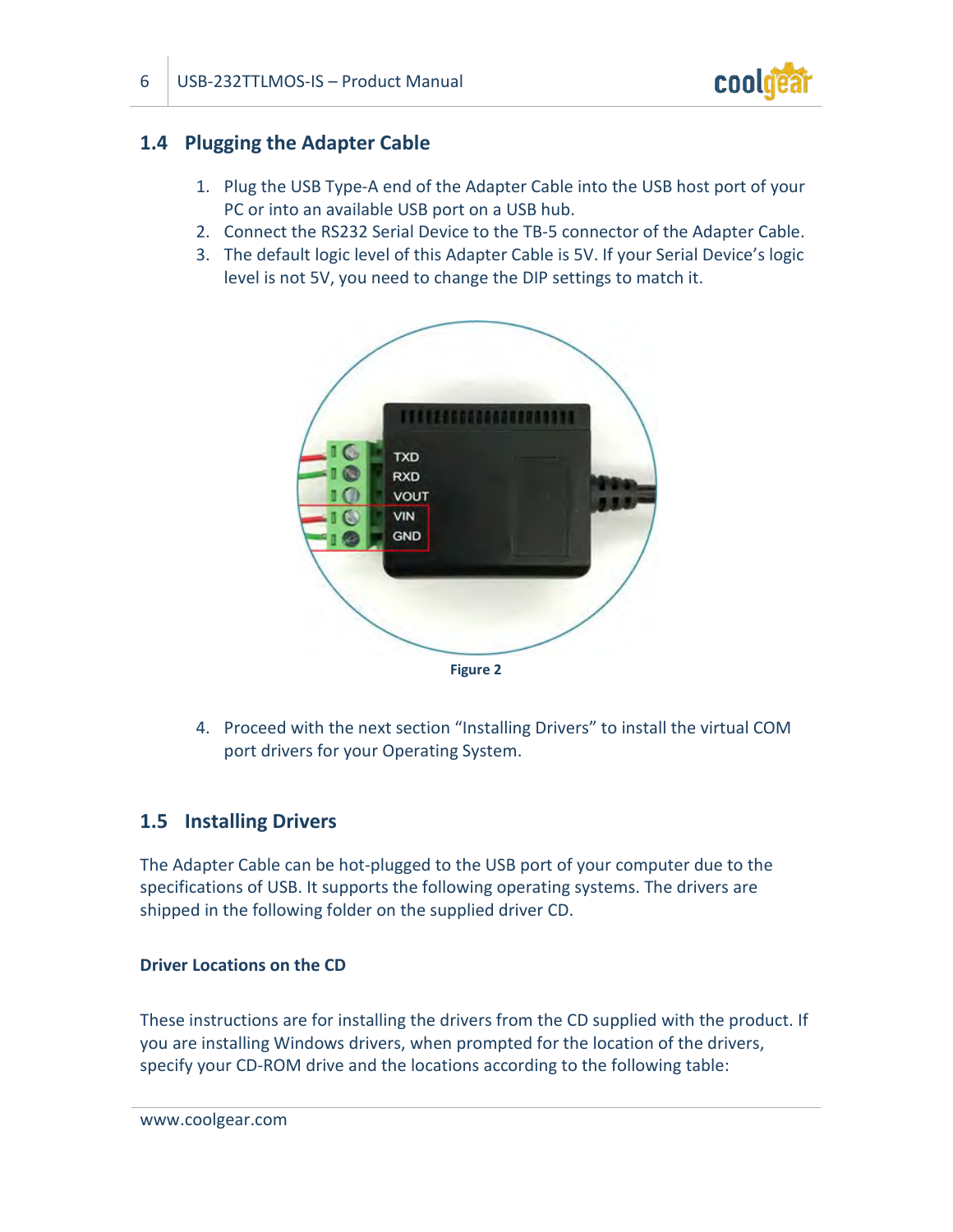

# <span id="page-5-0"></span>**1.4 Plugging the Adapter Cable**

- 1. Plug the USB Type-A end of the Adapter Cable into the USB host port of your PC or into an available USB port on a USB hub.
- 2. Connect the RS232 Serial Device to the TB-5 connector of the Adapter Cable.
- <span id="page-5-2"></span>3. The default logic level of this Adapter Cable is 5V. If your Serial Device's logic level is not 5V, you need to change the DIP settings to match it.



4. Proceed with the next section "Installing Drivers" to install the virtual COM port drivers for your Operating System.

# <span id="page-5-1"></span>**1.5 Installing Drivers**

The Adapter Cable can be hot-plugged to the USB port of your computer due to the specifications of USB. It supports the following operating systems. The drivers are shipped in the following folder on the supplied driver CD.

#### **Driver Locations on the CD**

These instructions are for installing the drivers from the CD supplied with the product. If you are installing Windows drivers, when prompted for the location of the drivers, specify your CD-ROM drive and the locations according to the following table: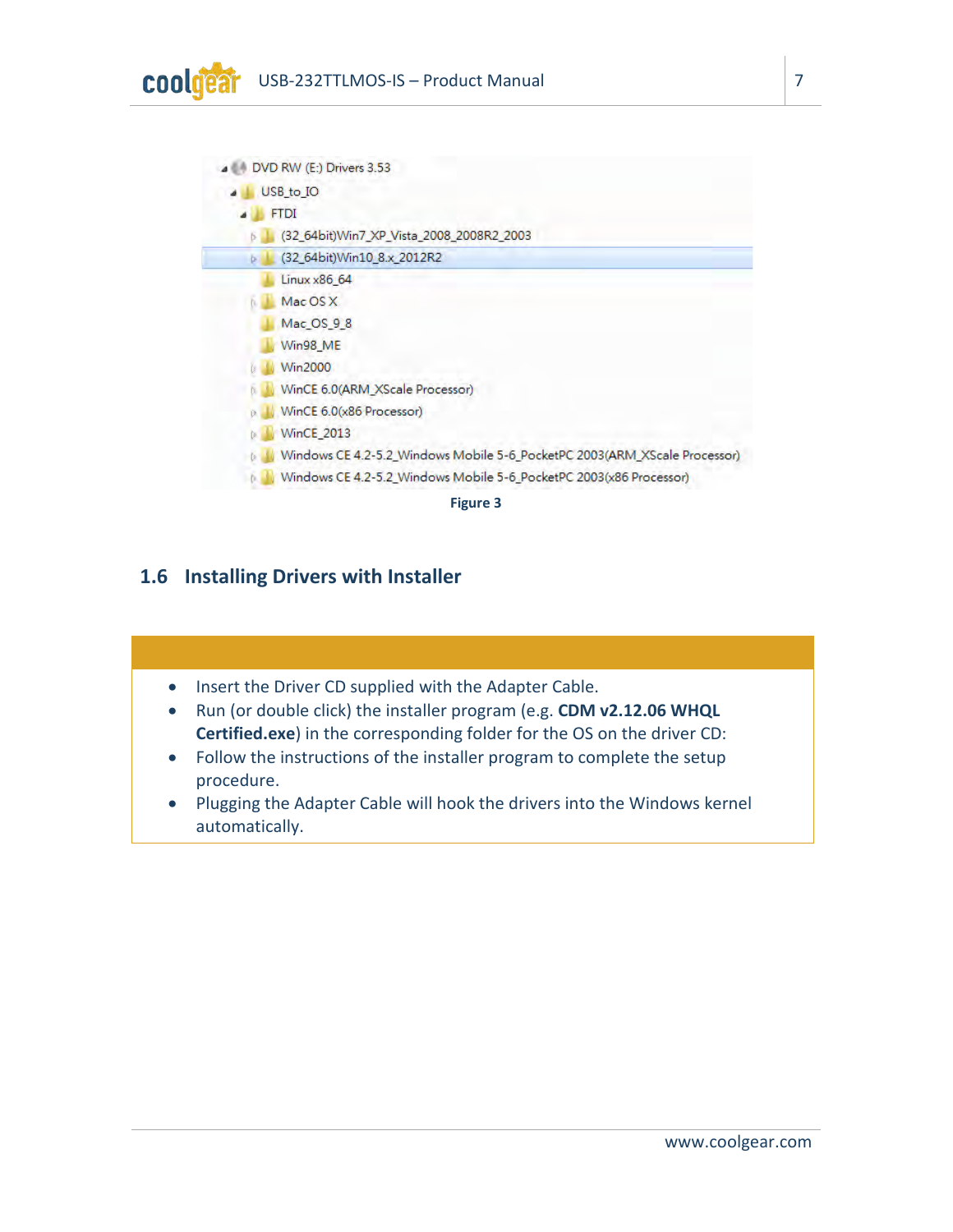

# <span id="page-6-0"></span>**1.6 Installing Drivers with Installer**

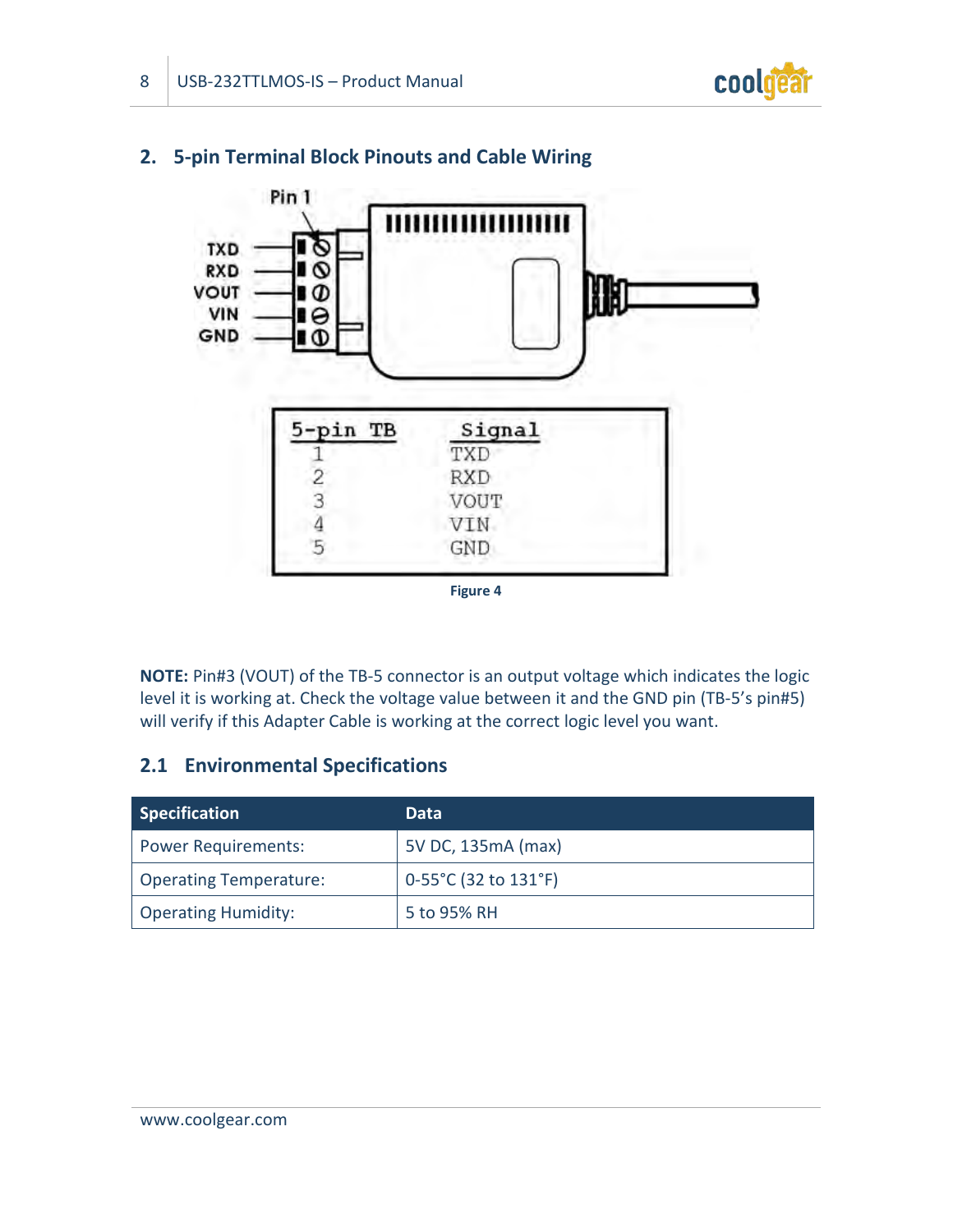



# <span id="page-7-0"></span>**2. 5-pin Terminal Block Pinouts and Cable Wiring**

**NOTE:** Pin#3 (VOUT) of the TB-5 connector is an output voltage which indicates the logic level it is working at. Check the voltage value between it and the GND pin (TB-5's pin#5) will verify if this Adapter Cable is working at the correct logic level you want.

# <span id="page-7-1"></span>**2.1 Environmental Specifications**

| <b>Specification</b>          | Data                 |
|-------------------------------|----------------------|
| <b>Power Requirements:</b>    | 5V DC, 135mA (max)   |
| <b>Operating Temperature:</b> | 0-55°C (32 to 131°F) |
| <b>Operating Humidity:</b>    | 5 to 95% RH          |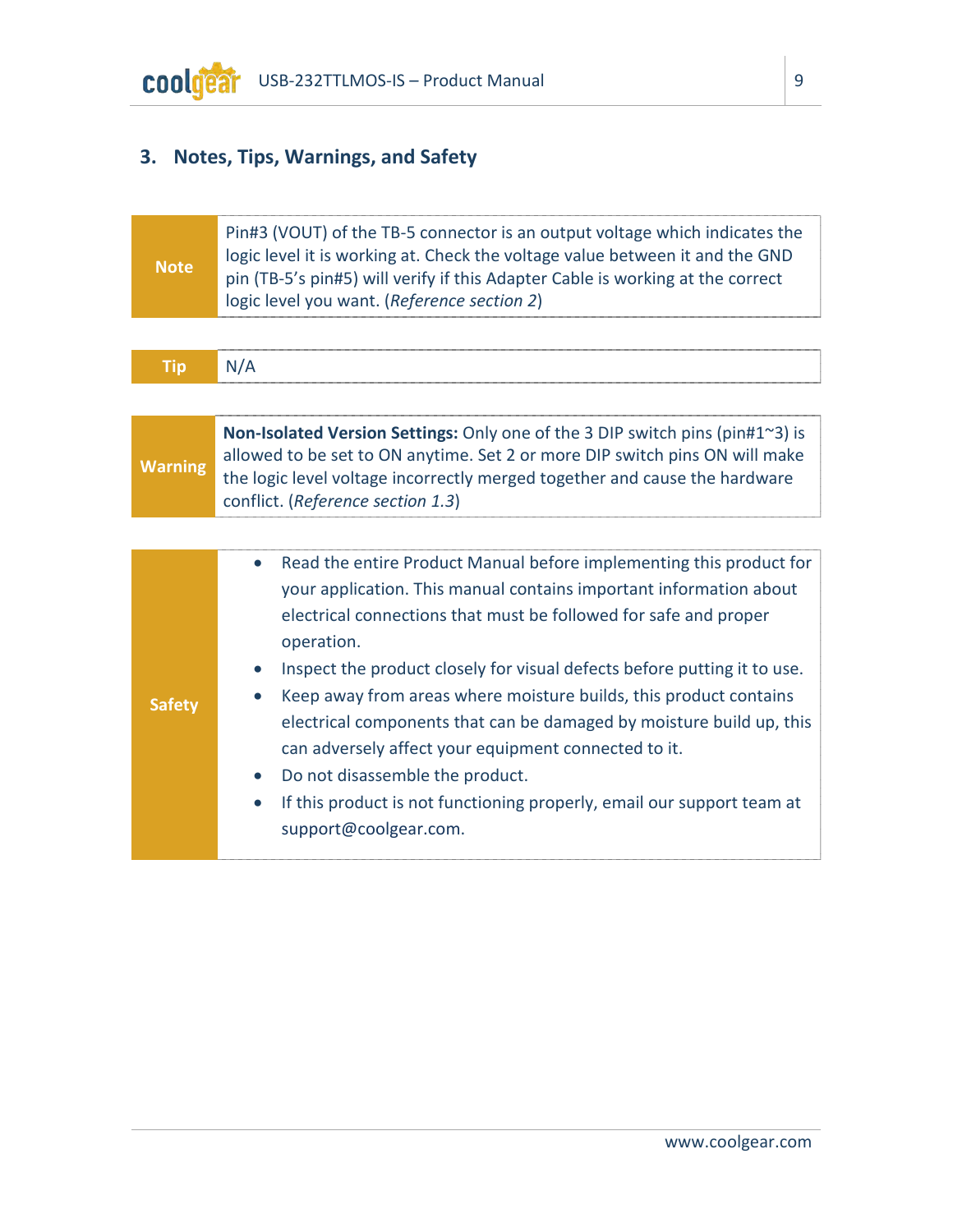

# <span id="page-8-0"></span>**3. Notes, Tips, Warnings, and Safety**

| <b>Note</b>    | Pin#3 (VOUT) of the TB-5 connector is an output voltage which indicates the<br>logic level it is working at. Check the voltage value between it and the GND<br>pin (TB-5's pin#5) will verify if this Adapter Cable is working at the correct<br>logic level you want. (Reference section 2)                                                                                                                                                                                                                                                                                                                                                                    |  |  |
|----------------|-----------------------------------------------------------------------------------------------------------------------------------------------------------------------------------------------------------------------------------------------------------------------------------------------------------------------------------------------------------------------------------------------------------------------------------------------------------------------------------------------------------------------------------------------------------------------------------------------------------------------------------------------------------------|--|--|
|                |                                                                                                                                                                                                                                                                                                                                                                                                                                                                                                                                                                                                                                                                 |  |  |
| <b>Tip</b>     | N/A                                                                                                                                                                                                                                                                                                                                                                                                                                                                                                                                                                                                                                                             |  |  |
|                |                                                                                                                                                                                                                                                                                                                                                                                                                                                                                                                                                                                                                                                                 |  |  |
| <b>Warning</b> | Non-Isolated Version Settings: Only one of the 3 DIP switch pins (pin#1~3) is<br>allowed to be set to ON anytime. Set 2 or more DIP switch pins ON will make<br>the logic level voltage incorrectly merged together and cause the hardware<br>conflict. (Reference section 1.3)                                                                                                                                                                                                                                                                                                                                                                                 |  |  |
|                |                                                                                                                                                                                                                                                                                                                                                                                                                                                                                                                                                                                                                                                                 |  |  |
| <b>Safety</b>  | Read the entire Product Manual before implementing this product for<br>$\bullet$<br>your application. This manual contains important information about<br>electrical connections that must be followed for safe and proper<br>operation.<br>Inspect the product closely for visual defects before putting it to use.<br>Keep away from areas where moisture builds, this product contains<br>electrical components that can be damaged by moisture build up, this<br>can adversely affect your equipment connected to it.<br>Do not disassemble the product.<br>If this product is not functioning properly, email our support team at<br>support@coolgear.com. |  |  |